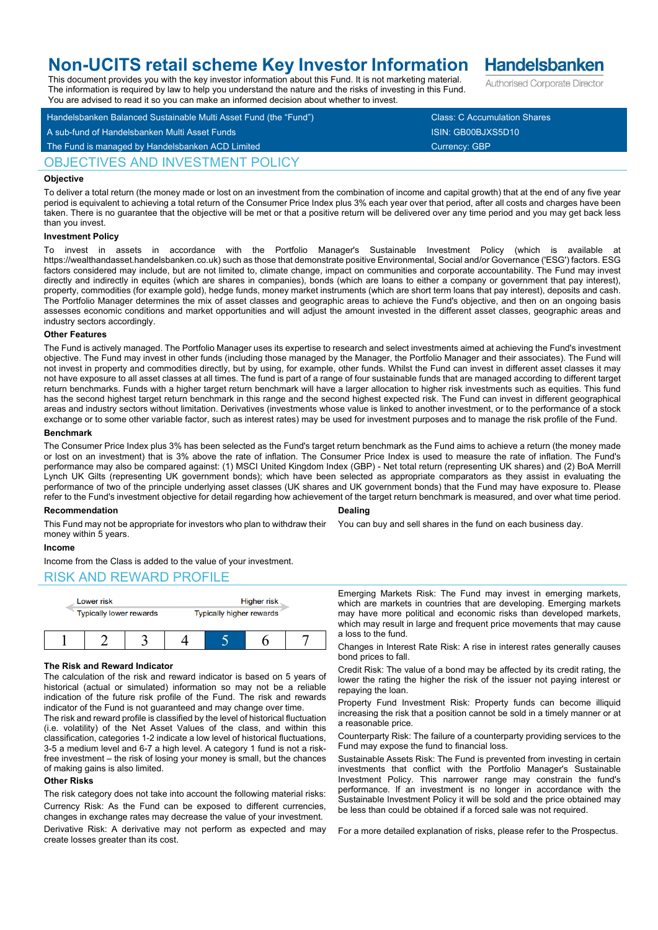# **Non-UCITS retail scheme Key Investor Information**

This document provides you with the key investor information about this Fund. It is not marketing material. The information is required by law to help you understand the nature and the risks of investing in this Fund.

Handelsbanken Balanced Sustainable Multi Asset Fund (the "Fund") Class: C Accumulation Shares A sub-fund of Handelsbanken Multi Asset Funds ISIN: GB00BJXS5D10 You are advised to read it so you can make an informed decision about whether to invest.

# OBJECTIVES AND INVESTMENT POLICY

### **Objective**

To deliver a total return (the money made or lost on an investment from the combination of income and capital growth) that at the end of any five year period is equivalent to achieving a total return of the Consumer Price Index plus 3% each year over that period, after all costs and charges have been taken. There is no guarantee that the objective will be met or that a positive return will be delivered over any time period and you may get back less than you invest.

### **Investment Policy**

To invest in assets in accordance with the Portfolio Manager's Sustainable Investment Policy (which is available https://wealthandasset.handelsbanken.co.uk) such as those that demonstrate positive Environmental, Social and/or Governance ('ESG') factors. ESG factors considered may include, but are not limited to, climate change, impact on communities and corporate accountability. The Fund may invest directly and indirectly in equites (which are shares in companies), bonds (which are loans to either a company or government that pay interest), property, commodities (for example gold), hedge funds, money market instruments (which are short term loans that pay interest), deposits and cash. The Portfolio Manager determines the mix of asset classes and geographic areas to achieve the Fund's objective, and then on an ongoing basis assesses economic conditions and market opportunities and will adjust the amount invested in the different asset classes, geographic areas and industry sectors accordingly.

### **Other Features**

The Fund is actively managed. The Portfolio Manager uses its expertise to research and select investments aimed at achieving the Fund's investment objective. The Fund may invest in other funds (including those managed by the Manager, the Portfolio Manager and their associates). The Fund will not invest in property and commodities directly, but by using, for example, other funds. Whilst the Fund can invest in different asset classes it may not have exposure to all asset classes at all times. The fund is part of a range of four sustainable funds that are managed according to different target return benchmarks. Funds with a higher target return benchmark will have a larger allocation to higher risk investments such as equities. This fund has the second highest target return benchmark in this range and the second highest expected risk. The Fund can invest in different geographical areas and industry sectors without limitation. Derivatives (investments whose value is linked to another investment, or to the performance of a stock exchange or to some other variable factor, such as interest rates) may be used for investment purposes and to manage the risk profile of the Fund.

### **Benchmark**

The Consumer Price Index plus 3% has been selected as the Fund's target return benchmark as the Fund aims to achieve a return (the money made or lost on an investment) that is 3% above the rate of inflation. The Consumer Price Index is used to measure the rate of inflation. The Fund's performance may also be compared against: (1) MSCI United Kingdom Index (GBP) - Net total return (representing UK shares) and (2) BoA Merrill Lynch UK Gilts (representing UK government bonds); which have been selected as appropriate comparators as they assist in evaluating the performance of two of the principle underlying asset classes (UK shares and UK government bonds) that the Fund may have exposure to. Please refer to the Fund's investment objective for detail regarding how achievement of the target return benchmark is measured, and over what time period.

### **Recommendation**

**Dealing**

You can buy and sell shares in the fund on each business day.

This Fund may not be appropriate for investors who plan to withdraw their money within 5 years.

### **Income**

Income from the Class is added to the value of your investment.

### RISK AND REWARD PROFILE



### **The Risk and Reward Indicator**

The calculation of the risk and reward indicator is based on 5 years of historical (actual or simulated) information so may not be a reliable indication of the future risk profile of the Fund. The risk and rewards indicator of the Fund is not guaranteed and may change over time.

The risk and reward profile is classified by the level of historical fluctuation (i.e. volatility) of the Net Asset Values of the class, and within this classification, categories 1-2 indicate a low level of historical fluctuations, 3-5 a medium level and 6-7 a high level. A category 1 fund is not a riskfree investment – the risk of losing your money is small, but the chances of making gains is also limited.

### **Other Risks**

The risk category does not take into account the following material risks: Currency Risk: As the Fund can be exposed to different currencies, changes in exchange rates may decrease the value of your investment.

Derivative Risk: A derivative may not perform as expected and may create losses greater than its cost.

Emerging Markets Risk: The Fund may invest in emerging markets, which are markets in countries that are developing. Emerging markets may have more political and economic risks than developed markets, which may result in large and frequent price movements that may cause a loss to the fund.

Changes in Interest Rate Risk: A rise in interest rates generally causes bond prices to fall.

Credit Risk: The value of a bond may be affected by its credit rating, the lower the rating the higher the risk of the issuer not paying interest or repaying the loan.

Property Fund Investment Risk: Property funds can become illiquid increasing the risk that a position cannot be sold in a timely manner or at a reasonable price.

Counterparty Risk: The failure of a counterparty providing services to the Fund may expose the fund to financial loss.

Sustainable Assets Risk: The Fund is prevented from investing in certain investments that conflict with the Portfolio Manager's Sustainable Investment Policy. This narrower range may constrain the fund's performance. If an investment is no longer in accordance with the Sustainable Investment Policy it will be sold and the price obtained may be less than could be obtained if a forced sale was not required.

For a more detailed explanation of risks, please refer to the Prospectus.

**Handelsbanken** Authorised Corporate Director

The Fund is managed by Handelsbanken ACD Limited Currency: GBP Currency: GBP